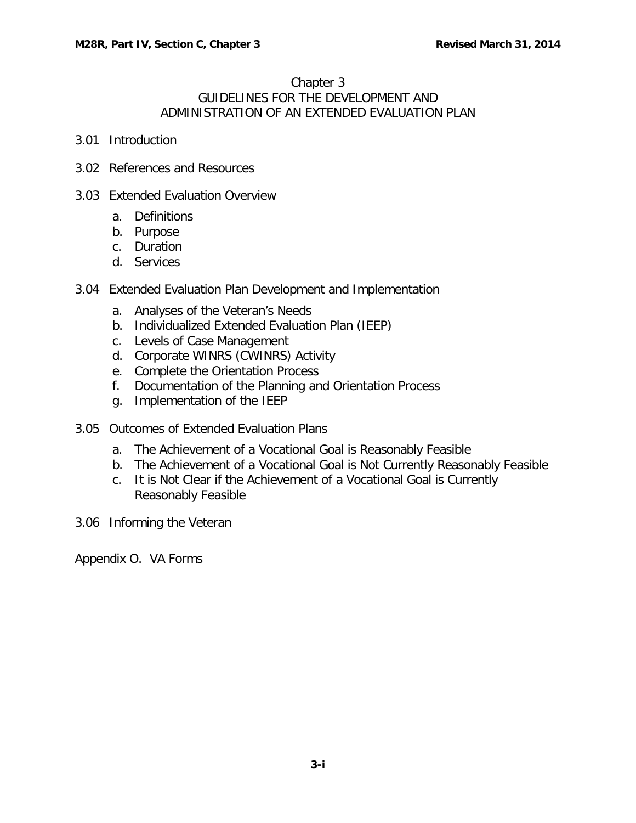## Chapter 3 GUIDELINES FOR THE DEVELOPMENT AND ADMINISTRATION OF AN EXTENDED EVALUATION PLAN

- 3.01 [Introduction](#page-1-0)
- 3.02 [References and Resources](#page-1-1)
- 3.03 [Extended Evaluation Overview](#page-2-0)
	- a. [Definitions](#page-2-1)
	- b. [Purpose](#page-2-2)
	- c. [Duration](#page-3-0)
	- d. [Services](#page-4-0)
- 3.04 [Extended Evaluation Plan Development and Implementation](#page-6-0)
	- a. [Analyses of the Veteran's Needs](#page-6-1)
	- b. [Individualized Extended Evaluation Plan \(IEEP\)](#page-6-2)
	- c. [Levels of Case Management](#page-9-0)
	- d. [Corporate WINRS \(CWINRS\) Activity](#page-10-0)
	- e. [Complete the Orientation Process](#page-11-0)
	- f. [Documentation of the Planning and Orientation Process](#page-12-0)
	- g. [Implementation of the IEEP](#page-12-1)
- 3.05 [Outcomes of Extended Evaluation Plans](#page-12-2)
	- a. [The Achievement of a Vocational Goal is Reasonably Feasible](#page-12-3)
	- b. [The Achievement of a Vocational Goal is Not Currently Reasonably Feasible](#page-13-0)
	- c. [It is Not Clear if the Achievement of a Vocational Goal is Currently](#page-13-1)  [Reasonably Feasible](#page-13-1)
- 3.06 [Informing the Veteran](#page-14-0)

Appendix O. VA Forms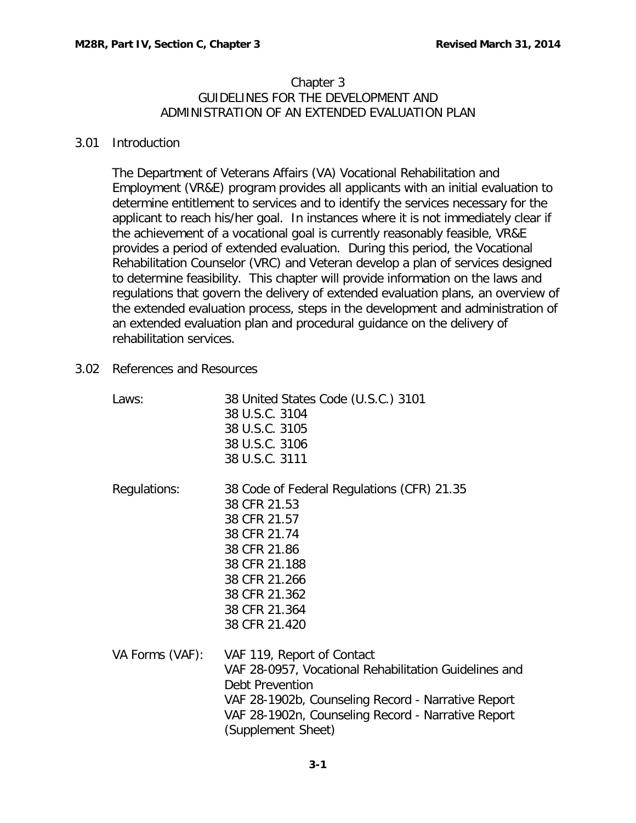## Chapter 3 GUIDELINES FOR THE DEVELOPMENT AND ADMINISTRATION OF AN EXTENDED EVALUATION PLAN

## <span id="page-1-0"></span>3.01 Introduction

The Department of Veterans Affairs (VA) Vocational Rehabilitation and Employment (VR&E) program provides all applicants with an initial evaluation to determine entitlement to services and to identify the services necessary for the applicant to reach his/her goal. In instances where it is not immediately clear if the achievement of a vocational goal is currently reasonably feasible, VR&E provides a period of extended evaluation. During this period, the Vocational Rehabilitation Counselor (VRC) and Veteran develop a plan of services designed to determine feasibility. This chapter will provide information on the laws and regulations that govern the delivery of extended evaluation plans, an overview of the extended evaluation process, steps in the development and administration of an extended evaluation plan and procedural guidance on the delivery of rehabilitation services.

<span id="page-1-1"></span>3.02 References and Resources

| Laws:           | 38 United States Code (U.S.C.) 3101<br>38 U.S.C. 3104<br>38 U.S.C. 3105<br>38 U.S.C. 3106<br>38 U.S.C. 3111                                                                                                                                     |
|-----------------|-------------------------------------------------------------------------------------------------------------------------------------------------------------------------------------------------------------------------------------------------|
| Regulations:    | 38 Code of Federal Regulations (CFR) 21.35<br>38 CFR 21.53<br>38 CFR 21.57<br>38 CFR 21.74<br>38 CFR 21.86<br>38 CFR 21.188<br>38 CFR 21.266<br>38 CFR 21.362<br>38 CFR 21.364<br>38 CFR 21.420                                                 |
| VA Forms (VAF): | VAF 119, Report of Contact<br>VAF 28-0957, Vocational Rehabilitation Guidelines and<br><b>Debt Prevention</b><br>VAF 28-1902b, Counseling Record - Narrative Report<br>VAF 28-1902n, Counseling Record - Narrative Report<br>(Supplement Sheet) |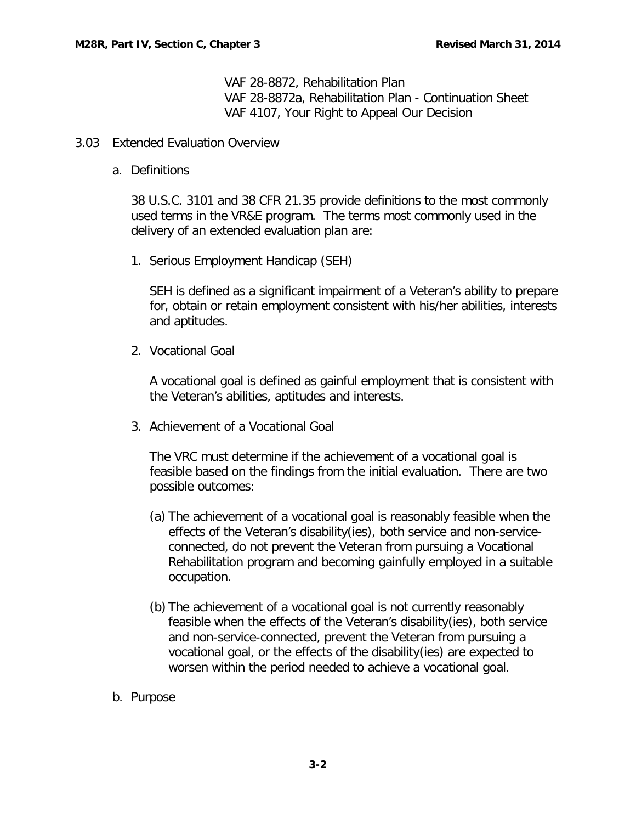VAF 28-8872, Rehabilitation Plan VAF 28-8872a, Rehabilitation Plan - Continuation Sheet VAF 4107, Your Right to Appeal Our Decision

- <span id="page-2-1"></span><span id="page-2-0"></span>3.03 Extended Evaluation Overview
	- a. Definitions

38 U.S.C. 3101 and 38 CFR 21.35 provide definitions to the most commonly used terms in the VR&E program. The terms most commonly used in the delivery of an extended evaluation plan are:

1. Serious Employment Handicap (SEH)

SEH is defined as a significant impairment of a Veteran's ability to prepare for, obtain or retain employment consistent with his/her abilities, interests and aptitudes.

2. Vocational Goal

A vocational goal is defined as gainful employment that is consistent with the Veteran's abilities, aptitudes and interests.

3. Achievement of a Vocational Goal

The VRC must determine if the achievement of a vocational goal is feasible based on the findings from the initial evaluation. There are two possible outcomes:

- (a) The achievement of a vocational goal is reasonably feasible when the effects of the Veteran's disability(ies), both service and non-serviceconnected, do not prevent the Veteran from pursuing a Vocational Rehabilitation program and becoming gainfully employed in a suitable occupation.
- (b) The achievement of a vocational goal is not currently reasonably feasible when the effects of the Veteran's disability(ies), both service and non-service-connected, prevent the Veteran from pursuing a vocational goal, or the effects of the disability(ies) are expected to worsen within the period needed to achieve a vocational goal.
- <span id="page-2-2"></span>b. Purpose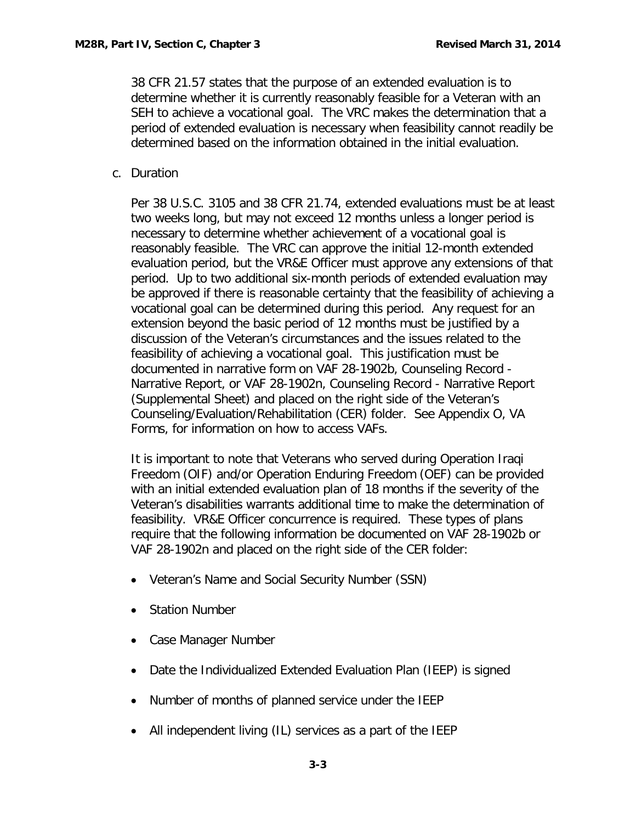38 CFR 21.57 states that the purpose of an extended evaluation is to determine whether it is currently reasonably feasible for a Veteran with an SEH to achieve a vocational goal. The VRC makes the determination that a period of extended evaluation is necessary when feasibility cannot readily be determined based on the information obtained in the initial evaluation.

<span id="page-3-0"></span>c. Duration

Per 38 U.S.C. 3105 and 38 CFR 21.74, extended evaluations must be at least two weeks long, but may not exceed 12 months unless a longer period is necessary to determine whether achievement of a vocational goal is reasonably feasible. The VRC can approve the initial 12-month extended evaluation period, but the VR&E Officer must approve any extensions of that period. Up to two additional six-month periods of extended evaluation may be approved if there is reasonable certainty that the feasibility of achieving a vocational goal can be determined during this period. Any request for an extension beyond the basic period of 12 months must be justified by a discussion of the Veteran's circumstances and the issues related to the feasibility of achieving a vocational goal. This justification must be documented in narrative form on VAF 28-1902b, Counseling Record - Narrative Report, or VAF 28-1902n, Counseling Record - Narrative Report (Supplemental Sheet) and placed on the right side of the Veteran's Counseling/Evaluation/Rehabilitation (CER) folder. See Appendix O, VA Forms, for information on how to access VAFs.

It is important to note that Veterans who served during Operation Iraqi Freedom (OIF) and/or Operation Enduring Freedom (OEF) can be provided with an initial extended evaluation plan of 18 months if the severity of the Veteran's disabilities warrants additional time to make the determination of feasibility. VR&E Officer concurrence is required. These types of plans require that the following information be documented on VAF 28-1902b or VAF 28-1902n and placed on the right side of the CER folder:

- Veteran's Name and Social Security Number (SSN)
- Station Number
- Case Manager Number
- Date the Individualized Extended Evaluation Plan (IEEP) is signed
- Number of months of planned service under the IEEP
- All independent living (IL) services as a part of the IEEP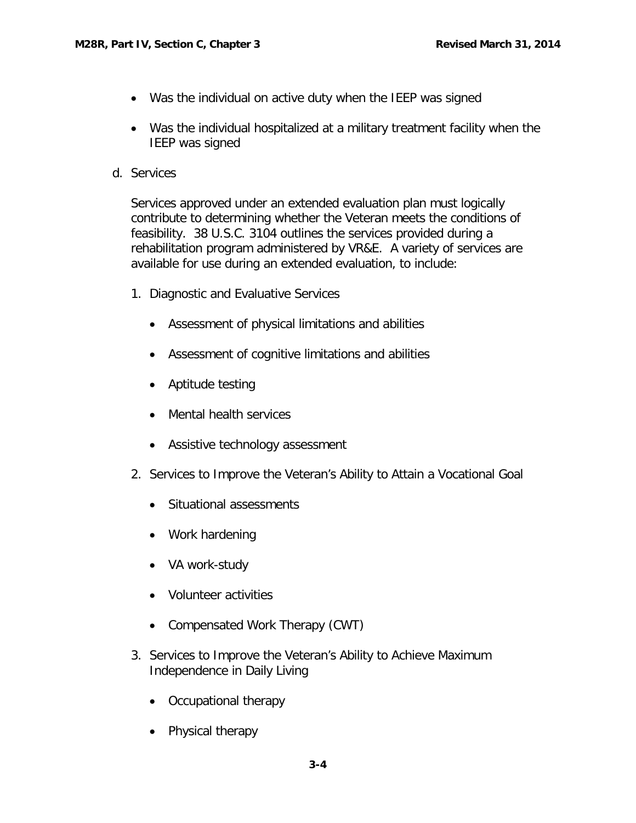- Was the individual on active duty when the IEEP was signed
- Was the individual hospitalized at a military treatment facility when the IEEP was signed
- <span id="page-4-0"></span>d. Services

Services approved under an extended evaluation plan must logically contribute to determining whether the Veteran meets the conditions of feasibility. 38 U.S.C. 3104 outlines the services provided during a rehabilitation program administered by VR&E. A variety of services are available for use during an extended evaluation, to include:

- 1. Diagnostic and Evaluative Services
	- Assessment of physical limitations and abilities
	- Assessment of cognitive limitations and abilities
	- Aptitude testing
	- Mental health services
	- Assistive technology assessment
- 2. Services to Improve the Veteran's Ability to Attain a Vocational Goal
	- Situational assessments
	- Work hardening
	- VA work-study
	- Volunteer activities
	- Compensated Work Therapy (CWT)
- 3. Services to Improve the Veteran's Ability to Achieve Maximum Independence in Daily Living
	- Occupational therapy
	- Physical therapy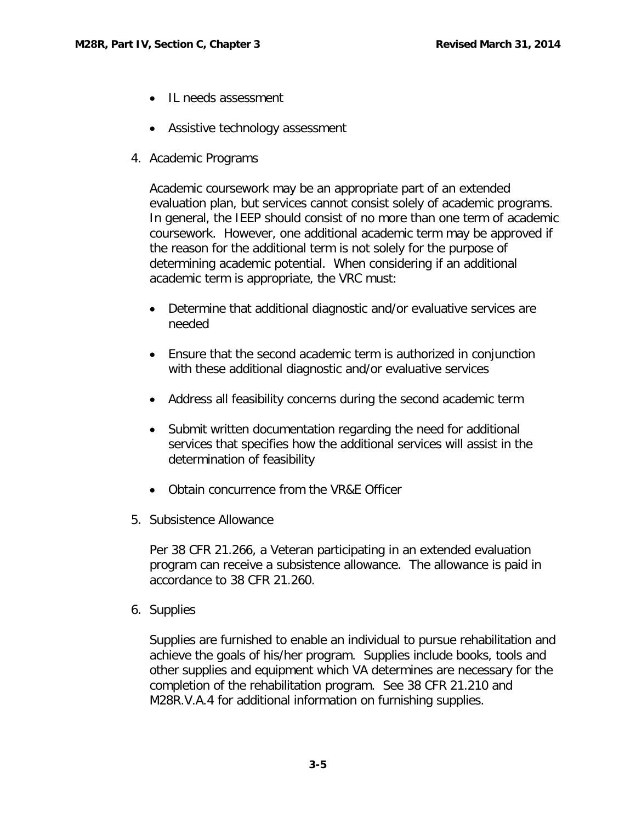- IL needs assessment
- Assistive technology assessment
- 4. Academic Programs

Academic coursework may be an appropriate part of an extended evaluation plan, but services cannot consist solely of academic programs. In general, the IEEP should consist of no more than one term of academic coursework. However, one additional academic term may be approved if the reason for the additional term is not solely for the purpose of determining academic potential. When considering if an additional academic term is appropriate, the VRC must:

- Determine that additional diagnostic and/or evaluative services are needed
- Ensure that the second academic term is authorized in conjunction with these additional diagnostic and/or evaluative services
- Address all feasibility concerns during the second academic term
- Submit written documentation regarding the need for additional services that specifies how the additional services will assist in the determination of feasibility
- Obtain concurrence from the VR&E Officer
- 5. Subsistence Allowance

Per 38 CFR 21.266, a Veteran participating in an extended evaluation program can receive a subsistence allowance. The allowance is paid in accordance to 38 CFR 21.260.

6. Supplies

Supplies are furnished to enable an individual to pursue rehabilitation and achieve the goals of his/her program. Supplies include books, tools and other supplies and equipment which VA determines are necessary for the completion of the rehabilitation program. See 38 CFR 21.210 and M28R.V.A.4 for additional information on furnishing supplies.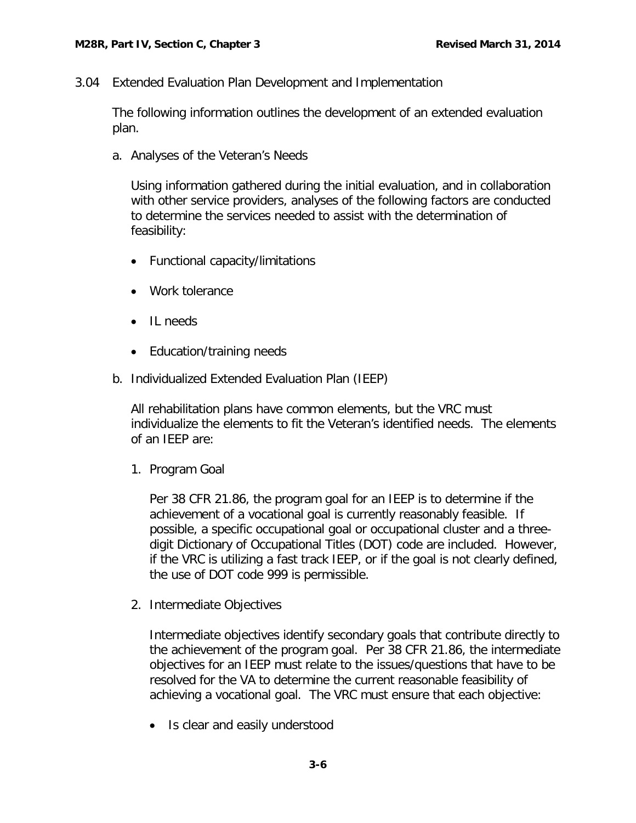<span id="page-6-0"></span>3.04 Extended Evaluation Plan Development and Implementation

The following information outlines the development of an extended evaluation plan.

<span id="page-6-1"></span>a. Analyses of the Veteran's Needs

Using information gathered during the initial evaluation, and in collaboration with other service providers, analyses of the following factors are conducted to determine the services needed to assist with the determination of feasibility:

- Functional capacity/limitations
- Work tolerance
- IL needs
- Education/training needs
- <span id="page-6-2"></span>b. Individualized Extended Evaluation Plan (IEEP)

All rehabilitation plans have common elements, but the VRC must individualize the elements to fit the Veteran's identified needs. The elements of an IEEP are:

1. Program Goal

Per 38 CFR 21.86, the program goal for an IEEP is to determine if the achievement of a vocational goal is currently reasonably feasible. If possible, a specific occupational goal or occupational cluster and a threedigit Dictionary of Occupational Titles (DOT) code are included. However, if the VRC is utilizing a fast track IEEP, or if the goal is not clearly defined, the use of DOT code 999 is permissible.

2. Intermediate Objectives

Intermediate objectives identify secondary goals that contribute directly to the achievement of the program goal. Per 38 CFR 21.86, the intermediate objectives for an IEEP must relate to the issues/questions that have to be resolved for the VA to determine the current reasonable feasibility of achieving a vocational goal. The VRC must ensure that each objective:

• Is clear and easily understood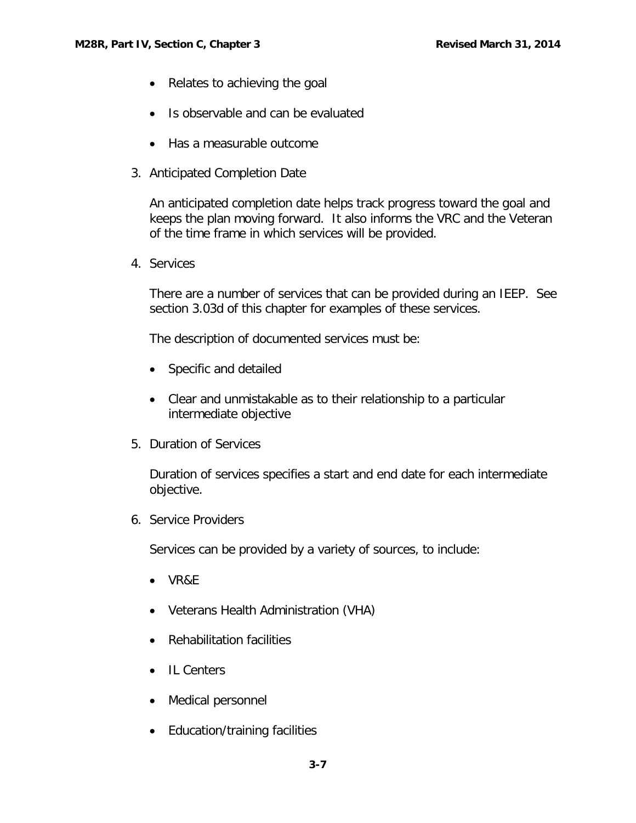- Relates to achieving the goal
- Is observable and can be evaluated
- Has a measurable outcome
- 3. Anticipated Completion Date

An anticipated completion date helps track progress toward the goal and keeps the plan moving forward. It also informs the VRC and the Veteran of the time frame in which services will be provided.

4. Services

There are a number of services that can be provided during an IEEP. See section 3.03d of this chapter for examples of these services.

The description of documented services must be:

- Specific and detailed
- Clear and unmistakable as to their relationship to a particular intermediate objective
- 5. Duration of Services

Duration of services specifies a start and end date for each intermediate objective.

6. Service Providers

Services can be provided by a variety of sources, to include:

- VR&E
- Veterans Health Administration (VHA)
- Rehabilitation facilities
- IL Centers
- Medical personnel
- Education/training facilities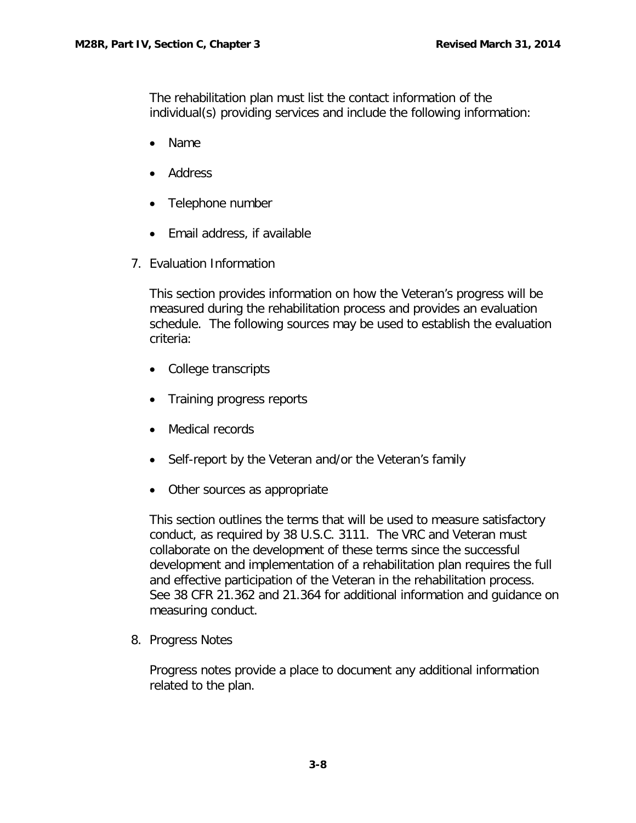The rehabilitation plan must list the contact information of the individual(s) providing services and include the following information:

- Name
- Address
- Telephone number
- Email address, if available
- 7. Evaluation Information

This section provides information on how the Veteran's progress will be measured during the rehabilitation process and provides an evaluation schedule. The following sources may be used to establish the evaluation criteria:

- College transcripts
- Training progress reports
- Medical records
- Self-report by the Veteran and/or the Veteran's family
- Other sources as appropriate

This section outlines the terms that will be used to measure satisfactory conduct, as required by 38 U.S.C. 3111. The VRC and Veteran must collaborate on the development of these terms since the successful development and implementation of a rehabilitation plan requires the full and effective participation of the Veteran in the rehabilitation process. See 38 CFR 21.362 and 21.364 for additional information and guidance on measuring conduct.

8. Progress Notes

Progress notes provide a place to document any additional information related to the plan.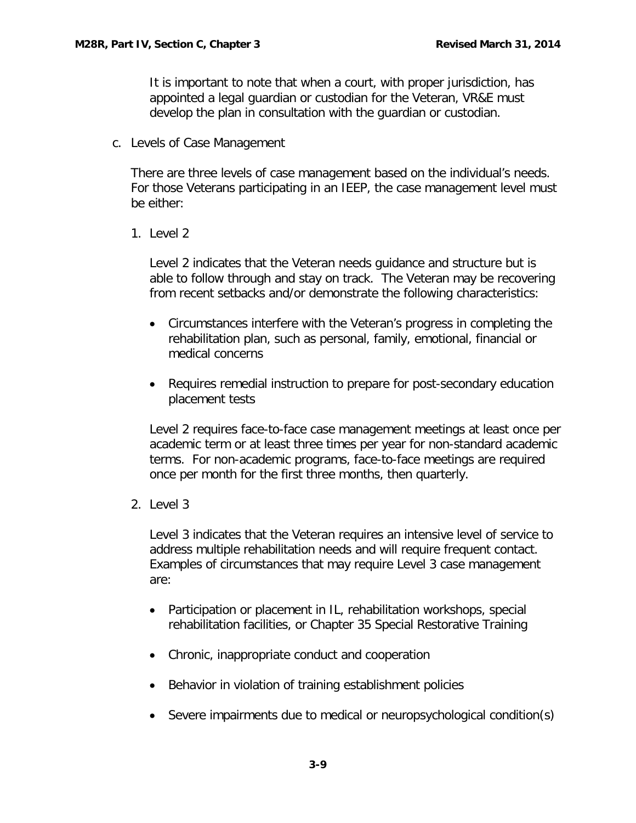It is important to note that when a court, with proper jurisdiction, has appointed a legal guardian or custodian for the Veteran, VR&E must develop the plan in consultation with the guardian or custodian.

<span id="page-9-0"></span>c. Levels of Case Management

There are three levels of case management based on the individual's needs. For those Veterans participating in an IEEP, the case management level must be either:

1. Level 2

Level 2 indicates that the Veteran needs guidance and structure but is able to follow through and stay on track. The Veteran may be recovering from recent setbacks and/or demonstrate the following characteristics:

- Circumstances interfere with the Veteran's progress in completing the rehabilitation plan, such as personal, family, emotional, financial or medical concerns
- Requires remedial instruction to prepare for post-secondary education placement tests

Level 2 requires face-to-face case management meetings at least once per academic term or at least three times per year for non-standard academic terms. For non-academic programs, face-to-face meetings are required once per month for the first three months, then quarterly.

2. Level 3

Level 3 indicates that the Veteran requires an intensive level of service to address multiple rehabilitation needs and will require frequent contact. Examples of circumstances that may require Level 3 case management are:

- Participation or placement in IL, rehabilitation workshops, special rehabilitation facilities, or Chapter 35 Special Restorative Training
- Chronic, inappropriate conduct and cooperation
- Behavior in violation of training establishment policies
- Severe impairments due to medical or neuropsychological condition(s)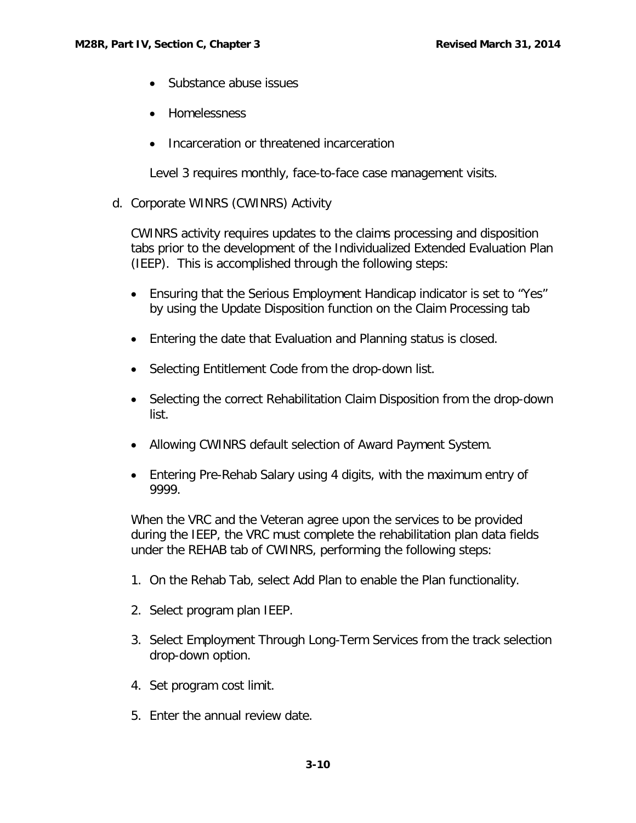- Substance abuse issues
- Homelessness
- Incarceration or threatened incarceration

Level 3 requires monthly, face-to-face case management visits.

<span id="page-10-0"></span>d. Corporate WINRS (CWINRS) Activity

CWINRS activity requires updates to the claims processing and disposition tabs prior to the development of the Individualized Extended Evaluation Plan (IEEP). This is accomplished through the following steps:

- Ensuring that the Serious Employment Handicap indicator is set to "Yes" by using the Update Disposition function on the Claim Processing tab
- Entering the date that Evaluation and Planning status is closed.
- Selecting Entitlement Code from the drop-down list.
- Selecting the correct Rehabilitation Claim Disposition from the drop-down list.
- Allowing CWINRS default selection of Award Payment System.
- Entering Pre-Rehab Salary using 4 digits, with the maximum entry of 9999.

When the VRC and the Veteran agree upon the services to be provided during the IEEP, the VRC must complete the rehabilitation plan data fields under the REHAB tab of CWINRS, performing the following steps:

- 1. On the Rehab Tab, select Add Plan to enable the Plan functionality.
- 2. Select program plan IEEP.
- 3. Select Employment Through Long-Term Services from the track selection drop-down option.
- 4. Set program cost limit.
- 5. Enter the annual review date.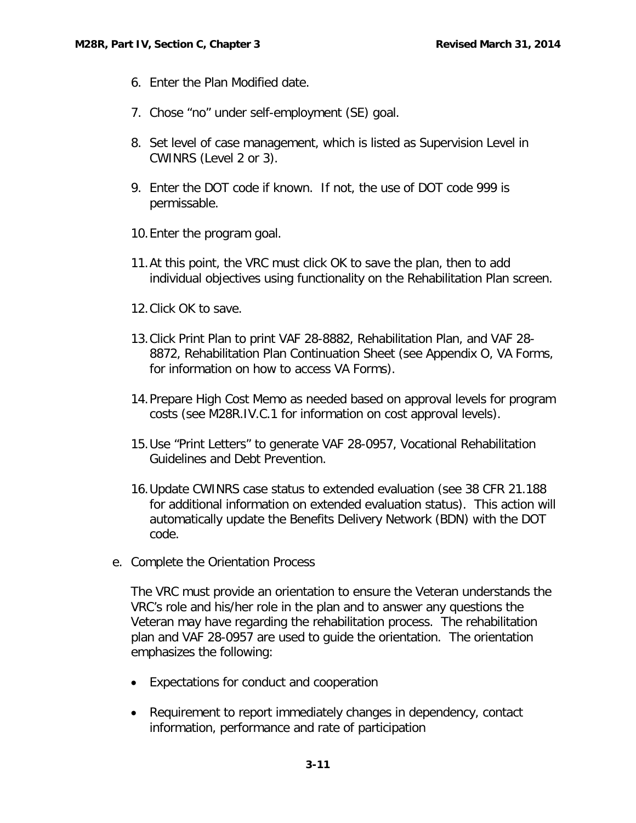- 6. Enter the Plan Modified date.
- 7. Chose "no" under self-employment (SE) goal.
- 8. Set level of case management, which is listed as Supervision Level in CWINRS (Level 2 or 3).
- 9. Enter the DOT code if known. If not, the use of DOT code 999 is permissable.
- 10.Enter the program goal.
- 11.At this point, the VRC must click OK to save the plan, then to add individual objectives using functionality on the Rehabilitation Plan screen.
- 12.Click OK to save.
- 13.Click Print Plan to print VAF 28-8882, Rehabilitation Plan, and VAF 28- 8872, Rehabilitation Plan Continuation Sheet (see Appendix O, VA Forms, for information on how to access VA Forms).
- 14.Prepare High Cost Memo as needed based on approval levels for program costs (see M28R.IV.C.1 for information on cost approval levels).
- 15.Use "Print Letters" to generate VAF 28-0957, Vocational Rehabilitation Guidelines and Debt Prevention.
- 16.Update CWINRS case status to extended evaluation (see 38 CFR 21.188 for additional information on extended evaluation status). This action will automatically update the Benefits Delivery Network (BDN) with the DOT code.
- <span id="page-11-0"></span>e. Complete the Orientation Process

The VRC must provide an orientation to ensure the Veteran understands the VRC's role and his/her role in the plan and to answer any questions the Veteran may have regarding the rehabilitation process. The rehabilitation plan and VAF 28-0957 are used to guide the orientation. The orientation emphasizes the following:

- Expectations for conduct and cooperation
- Requirement to report immediately changes in dependency, contact information, performance and rate of participation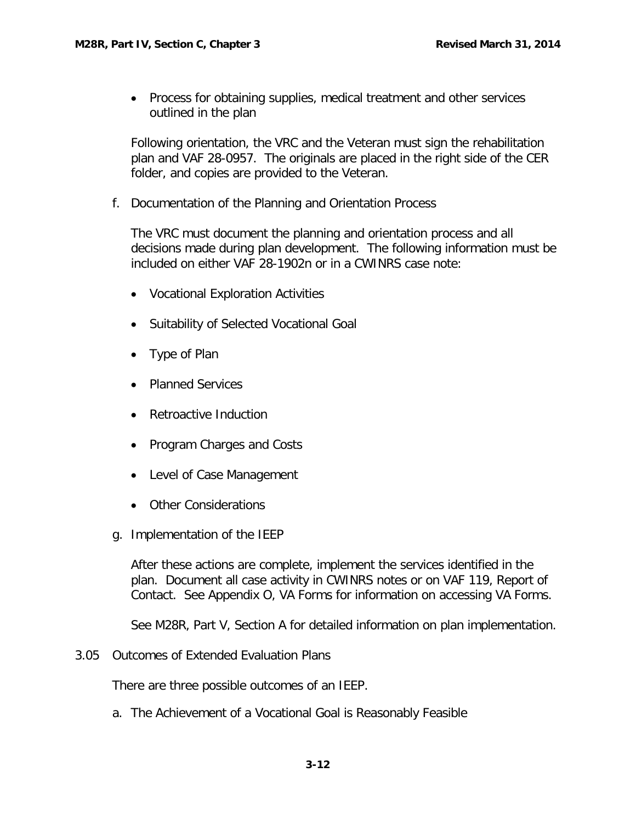• Process for obtaining supplies, medical treatment and other services outlined in the plan

Following orientation, the VRC and the Veteran must sign the rehabilitation plan and VAF 28-0957. The originals are placed in the right side of the CER folder, and copies are provided to the Veteran.

<span id="page-12-0"></span>f. Documentation of the Planning and Orientation Process

The VRC must document the planning and orientation process and all decisions made during plan development. The following information must be included on either VAF 28-1902n or in a CWINRS case note:

- Vocational Exploration Activities
- Suitability of Selected Vocational Goal
- Type of Plan
- Planned Services
- Retroactive Induction
- Program Charges and Costs
- Level of Case Management
- Other Considerations
- <span id="page-12-1"></span>g. Implementation of the IEEP

After these actions are complete, implement the services identified in the plan. Document all case activity in CWINRS notes or on VAF 119, Report of Contact. See Appendix O, VA Forms for information on accessing VA Forms.

See M28R, Part V, Section A for detailed information on plan implementation.

<span id="page-12-2"></span>3.05 Outcomes of Extended Evaluation Plans

There are three possible outcomes of an IEEP.

<span id="page-12-3"></span>a. The Achievement of a Vocational Goal is Reasonably Feasible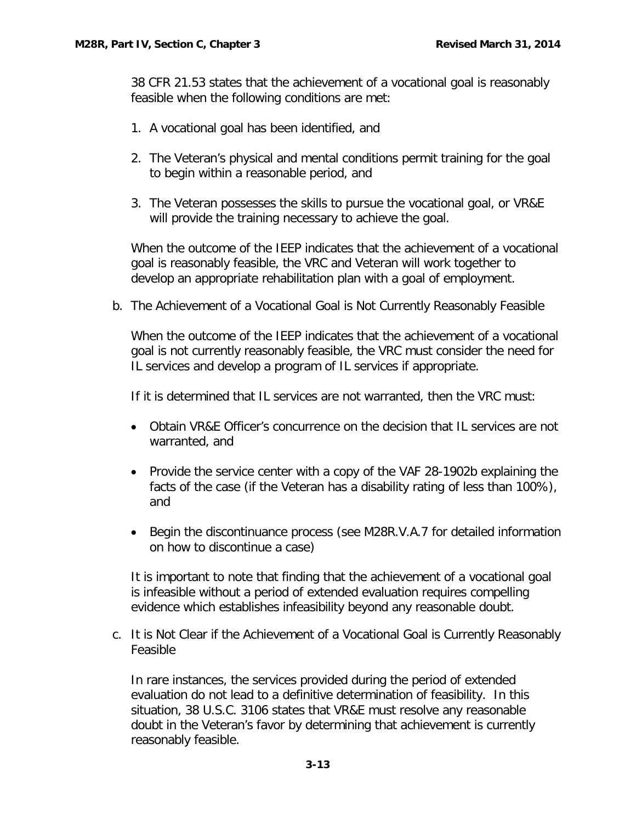38 CFR 21.53 states that the achievement of a vocational goal is reasonably feasible when the following conditions are met:

- 1. A vocational goal has been identified, and
- 2. The Veteran's physical and mental conditions permit training for the goal to begin within a reasonable period, and
- 3. The Veteran possesses the skills to pursue the vocational goal, or VR&E will provide the training necessary to achieve the goal.

When the outcome of the IFFP indicates that the achievement of a vocational goal is reasonably feasible, the VRC and Veteran will work together to develop an appropriate rehabilitation plan with a goal of employment.

<span id="page-13-0"></span>b. The Achievement of a Vocational Goal is Not Currently Reasonably Feasible

When the outcome of the IEEP indicates that the achievement of a vocational goal is not currently reasonably feasible, the VRC must consider the need for IL services and develop a program of IL services if appropriate.

If it is determined that IL services are not warranted, then the VRC must:

- Obtain VR&E Officer's concurrence on the decision that IL services are not warranted, and
- Provide the service center with a copy of the VAF 28-1902b explaining the facts of the case (if the Veteran has a disability rating of less than 100%), and
- Begin the discontinuance process (see M28R.V.A.7 for detailed information on how to discontinue a case)

It is important to note that finding that the achievement of a vocational goal is infeasible without a period of extended evaluation requires compelling evidence which establishes infeasibility beyond any reasonable doubt.

<span id="page-13-1"></span>c. It is Not Clear if the Achievement of a Vocational Goal is Currently Reasonably Feasible

In rare instances, the services provided during the period of extended evaluation do not lead to a definitive determination of feasibility. In this situation, 38 U.S.C. 3106 states that VR&E must resolve any reasonable doubt in the Veteran's favor by determining that achievement is currently reasonably feasible.